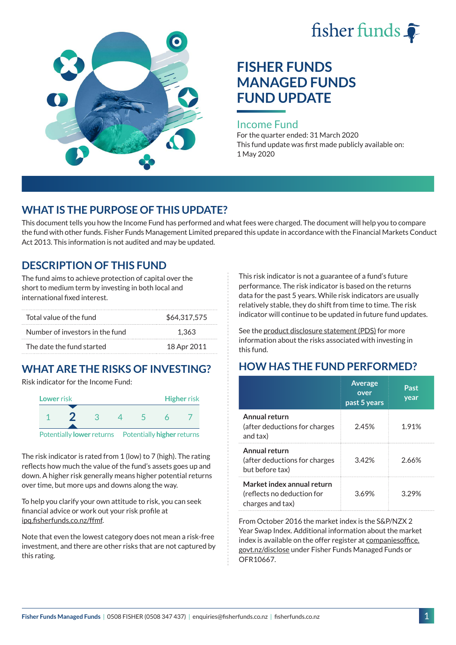



# **FISHER FUNDS MANAGED FUNDS FUND UPDATE**

#### Income Fund

For the quarter ended: 31 March 2020 This fund update was first made publicly available on: 1 May 2020

### **WHAT IS THE PURPOSE OF THIS UPDATE?**

This document tells you how the Income Fund has performed and what fees were charged. The document will help you to compare the fund with other funds. Fisher Funds Management Limited prepared this update in accordance with the Financial Markets Conduct Act 2013. This information is not audited and may be updated.

### **DESCRIPTION OF THIS FUND**

The fund aims to achieve protection of capital over the short to medium term by investing in both local and international fixed interest.

| Total value of the fund         | \$64,317,575 |
|---------------------------------|--------------|
| Number of investors in the fund | 1.363        |
| The date the fund started       | 18 Apr 2011  |

## **WHAT ARE THE RISKS OF INVESTING?**

Risk indicator for the Income Fund:



The risk indicator is rated from 1 (low) to 7 (high). The rating reflects how much the value of the fund's assets goes up and down. A higher risk generally means higher potential returns over time, but more ups and downs along the way.

To help you clarify your own attitude to risk, you can seek financial advice or work out your risk profile at [ipq.fisherfunds.co.nz/ffmf.](https://ipq.fisherfunds.co.nz/ffmf)

Note that even the lowest category does not mean a risk-free investment, and there are other risks that are not captured by this rating.

This risk indicator is not a guarantee of a fund's future performance. The risk indicator is based on the returns data for the past 5 years. While risk indicators are usually relatively stable, they do shift from time to time. The risk indicator will continue to be updated in future fund updates.

See the [product disclosure statement \(PDS\)](https://fisherfunds.co.nz/assets/PDS/Fisher-Funds-Managed-Funds-PDS.pdf) for more information about the risks associated with investing in this fund.

### **HOW HAS THE FUND PERFORMED?**

|                                                                              | <b>Average</b><br>over<br>past 5 years | Past<br>year |
|------------------------------------------------------------------------------|----------------------------------------|--------------|
| Annual return<br>(after deductions for charges<br>and tax)                   | 2.45%                                  | 1.91%        |
| Annual return<br>(after deductions for charges<br>but before tax)            | 3.42%                                  | 2.66%        |
| Market index annual return<br>(reflects no deduction for<br>charges and tax) | 3.69%                                  | 329%         |

From October 2016 the market index is the S&P/NZX 2 Year Swap Index. Additional information about the market index is available on the offer register at [companiesoffice.](http://companiesoffice.govt.nz/disclose) [govt.nz/disclose](http://companiesoffice.govt.nz/disclose) under Fisher Funds Managed Funds or OFR10667.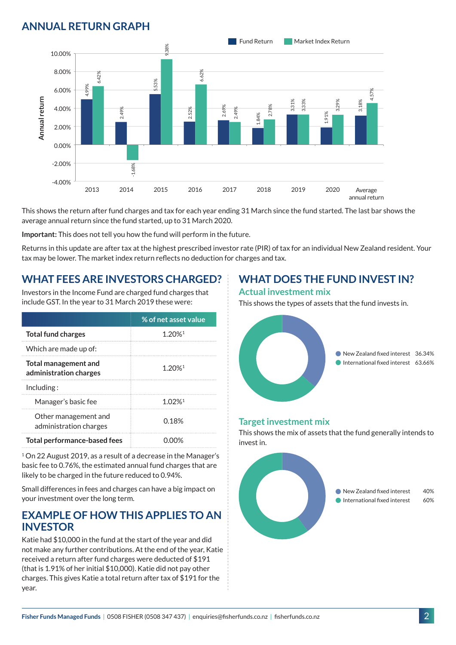### **ANNUAL RETURN GRAPH**



This shows the return after fund charges and tax for each year ending 31 March since the fund started. The last bar shows the average annual return since the fund started, up to 31 March 2020.

**Important:** This does not tell you how the fund will perform in the future.

Returns in this update are after tax at the highest prescribed investor rate (PIR) of tax for an individual New Zealand resident. Your tax may be lower. The market index return reflects no deduction for charges and tax.

### **WHAT FEES ARE INVESTORS CHARGED?**

Investors in the Income Fund are charged fund charges that include GST. In the year to 31 March 2019 these were:

|                                                       | % of net asset value |  |
|-------------------------------------------------------|----------------------|--|
| <b>Total fund charges</b>                             | 1.20% <sup>1</sup>   |  |
| Which are made up of:                                 |                      |  |
| <b>Total management and</b><br>administration charges | $1.20%$ <sup>1</sup> |  |
| Inding:                                               |                      |  |
| Manager's basic fee                                   | $1.02%$ <sup>1</sup> |  |
| Other management and<br>administration charges        | 0.18%                |  |
| Total performance-based fees                          |                      |  |

<sup>1</sup> On 22 August 2019, as a result of a decrease in the Manager's basic fee to 0.76%, the estimated annual fund charges that are likely to be charged in the future reduced to 0.94%.

Small differences in fees and charges can have a big impact on your investment over the long term.

#### **EXAMPLE OF HOW THIS APPLIES TO AN INVESTOR**

Katie had \$10,000 in the fund at the start of the year and did not make any further contributions. At the end of the year, Katie received a return after fund charges were deducted of \$191 (that is 1.91% of her initial \$10,000). Katie did not pay other charges. This gives Katie a total return after tax of \$191 for the year.

### **WHAT DOES THE FUND INVEST IN?**

#### **Actual investment mix**

This shows the types of assets that the fund invests in.



#### **Target investment mix**

This shows the mix of assets that the fund generally intends to invest in.